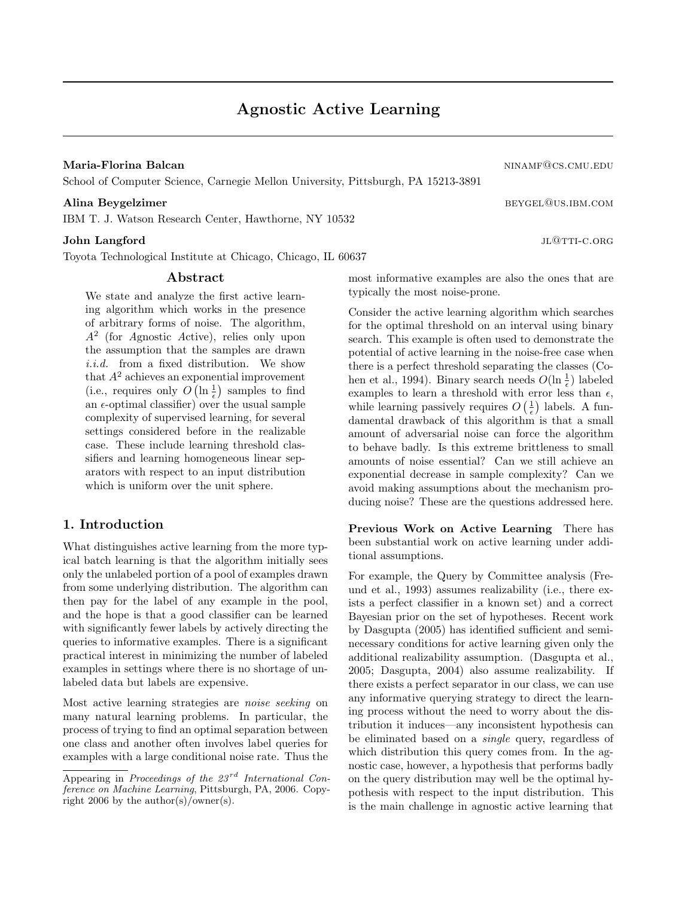Maria-Florina Balcan ning and the set of the set of the set of the set of the set of the set of the set of the set of the set of the set of the set of the set of the set of the set of the set of the set of the set of the s

School of Computer Science, Carnegie Mellon University, Pittsburgh, PA 15213-3891

IBM T. J. Watson Research Center, Hawthorne, NY 10532

### $\bf{John \; Langford} \;$

Toyota Technological Institute at Chicago, Chicago, IL 60637

### Abstract

We state and analyze the first active learning algorithm which works in the presence of arbitrary forms of noise. The algorithm, A<sup>2</sup> (for Agnostic Active), relies only upon the assumption that the samples are drawn i.i.d. from a fixed distribution. We show that  $A^2$  achieves an exponential improvement (i.e., requires only  $O\left(\ln\frac{1}{\epsilon}\right)$  samples to find an  $\epsilon$ -optimal classifier) over the usual sample complexity of supervised learning, for several settings considered before in the realizable case. These include learning threshold classifiers and learning homogeneous linear separators with respect to an input distribution which is uniform over the unit sphere.

## 1. Introduction

What distinguishes active learning from the more typical batch learning is that the algorithm initially sees only the unlabeled portion of a pool of examples drawn from some underlying distribution. The algorithm can then pay for the label of any example in the pool, and the hope is that a good classifier can be learned with significantly fewer labels by actively directing the queries to informative examples. There is a significant practical interest in minimizing the number of labeled examples in settings where there is no shortage of unlabeled data but labels are expensive.

Most active learning strategies are noise seeking on many natural learning problems. In particular, the process of trying to find an optimal separation between one class and another often involves label queries for examples with a large conditional noise rate. Thus the

Alina Beygelzimer between the state of the series of the series of the series of the series of the series of the series of the series of the series of the series of the series of the series of the series of the series of t

most informative examples are also the ones that are typically the most noise-prone.

Consider the active learning algorithm which searches for the optimal threshold on an interval using binary search. This example is often used to demonstrate the potential of active learning in the noise-free case when there is a perfect threshold separating the classes (Cohen et al., 1994). Binary search needs  $O(\ln\frac{1}{\epsilon})$  labeled examples to learn a threshold with error less than  $\epsilon$ , while learning passively requires  $O\left(\frac{1}{\epsilon}\right)$  labels. A fundamental drawback of this algorithm is that a small amount of adversarial noise can force the algorithm to behave badly. Is this extreme brittleness to small amounts of noise essential? Can we still achieve an exponential decrease in sample complexity? Can we avoid making assumptions about the mechanism producing noise? These are the questions addressed here.

Previous Work on Active Learning There has been substantial work on active learning under additional assumptions.

For example, the Query by Committee analysis (Freund et al., 1993) assumes realizability (i.e., there exists a perfect classifier in a known set) and a correct Bayesian prior on the set of hypotheses. Recent work by Dasgupta (2005) has identified sufficient and seminecessary conditions for active learning given only the additional realizability assumption. (Dasgupta et al., 2005; Dasgupta, 2004) also assume realizability. If there exists a perfect separator in our class, we can use any informative querying strategy to direct the learning process without the need to worry about the distribution it induces—any inconsistent hypothesis can be eliminated based on a single query, regardless of which distribution this query comes from. In the agnostic case, however, a hypothesis that performs badly on the query distribution may well be the optimal hypothesis with respect to the input distribution. This is the main challenge in agnostic active learning that

Appearing in Proceedings of the  $23^{rd}$  International Conference on Machine Learning, Pittsburgh, PA, 2006. Copyright 2006 by the author(s)/owner(s).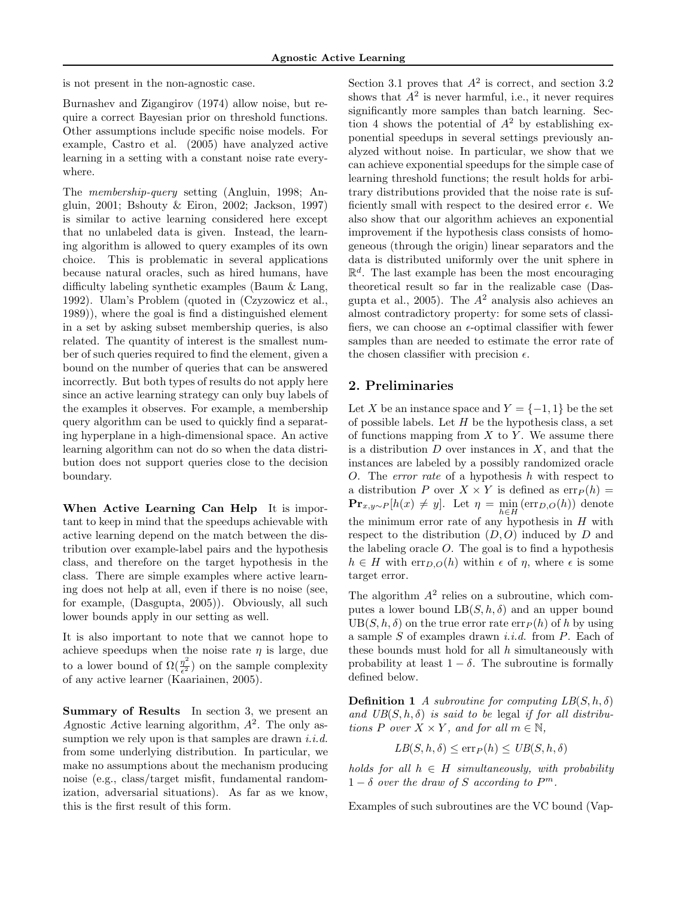is not present in the non-agnostic case.

Burnashev and Zigangirov (1974) allow noise, but require a correct Bayesian prior on threshold functions. Other assumptions include specific noise models. For example, Castro et al. (2005) have analyzed active learning in a setting with a constant noise rate everywhere.

The membership-query setting (Angluin, 1998; Angluin, 2001; Bshouty & Eiron, 2002; Jackson, 1997) is similar to active learning considered here except that no unlabeled data is given. Instead, the learning algorithm is allowed to query examples of its own choice. This is problematic in several applications because natural oracles, such as hired humans, have difficulty labeling synthetic examples (Baum & Lang, 1992). Ulam's Problem (quoted in (Czyzowicz et al., 1989)), where the goal is find a distinguished element in a set by asking subset membership queries, is also related. The quantity of interest is the smallest number of such queries required to find the element, given a bound on the number of queries that can be answered incorrectly. But both types of results do not apply here since an active learning strategy can only buy labels of the examples it observes. For example, a membership query algorithm can be used to quickly find a separating hyperplane in a high-dimensional space. An active learning algorithm can not do so when the data distribution does not support queries close to the decision boundary.

When Active Learning Can Help It is important to keep in mind that the speedups achievable with active learning depend on the match between the distribution over example-label pairs and the hypothesis class, and therefore on the target hypothesis in the class. There are simple examples where active learning does not help at all, even if there is no noise (see, for example, (Dasgupta, 2005)). Obviously, all such lower bounds apply in our setting as well.

It is also important to note that we cannot hope to achieve speedups when the noise rate  $\eta$  is large, due to a lower bound of  $\Omega(\frac{\eta^2}{\epsilon^2})$  $\frac{\eta}{\epsilon^2}$  on the sample complexity of any active learner (Kaariainen, 2005).

Summary of Results In section 3, we present an Agnostic Active learning algorithm,  $A^2$ . The only assumption we rely upon is that samples are drawn  $i.i.d.$ from some underlying distribution. In particular, we make no assumptions about the mechanism producing noise (e.g., class/target misfit, fundamental randomization, adversarial situations). As far as we know, this is the first result of this form.

Section 3.1 proves that  $A^2$  is correct, and section 3.2 shows that  $A^2$  is never harmful, i.e., it never requires significantly more samples than batch learning. Section 4 shows the potential of  $A^2$  by establishing exponential speedups in several settings previously analyzed without noise. In particular, we show that we can achieve exponential speedups for the simple case of learning threshold functions; the result holds for arbitrary distributions provided that the noise rate is sufficiently small with respect to the desired error  $\epsilon$ . We also show that our algorithm achieves an exponential improvement if the hypothesis class consists of homogeneous (through the origin) linear separators and the data is distributed uniformly over the unit sphere in  $\mathbb{R}^d$ . The last example has been the most encouraging theoretical result so far in the realizable case (Dasgupta et al., 2005). The  $A^2$  analysis also achieves an almost contradictory property: for some sets of classifiers, we can choose an  $\epsilon$ -optimal classifier with fewer samples than are needed to estimate the error rate of the chosen classifier with precision  $\epsilon$ .

## 2. Preliminaries

Let X be an instance space and  $Y = \{-1, 1\}$  be the set of possible labels. Let  $H$  be the hypothesis class, a set of functions mapping from  $X$  to  $Y$ . We assume there is a distribution  $D$  over instances in  $X$ , and that the instances are labeled by a possibly randomized oracle O. The error rate of a hypothesis h with respect to a distribution P over  $X \times Y$  is defined as  $\text{err}_P(h) =$  $\mathbf{Pr}_{x,y\sim P}[h(x) \neq y]$ . Let  $\eta = \min_{h \in H}(\text{err}_{D,O}(h))$  denote the minimum error rate of any hypothesis in  $H$  with respect to the distribution  $(D, O)$  induced by D and the labeling oracle  $O$ . The goal is to find a hypothesis  $h \in H$  with  $\text{err}_{D,O}(h)$  within  $\epsilon$  of  $\eta$ , where  $\epsilon$  is some target error.

The algorithm  $A^2$  relies on a subroutine, which computes a lower bound  $LB(S, h, \delta)$  and an upper bound  $UB(S, h, \delta)$  on the true error rate  $err<sub>P</sub>(h)$  of h by using a sample  $S$  of examples drawn *i.i.d.* from  $P$ . Each of these bounds must hold for all  $h$  simultaneously with probability at least  $1 - \delta$ . The subroutine is formally defined below.

**Definition 1** A subroutine for computing  $LB(S, h, \delta)$ and  $UB(S, h, \delta)$  is said to be legal if for all distributions P over  $X \times Y$ , and for all  $m \in \mathbb{N}$ ,

$$
LB(S, h, \delta) \le \exp(h) \le UB(S, h, \delta)
$$

holds for all  $h \in H$  simultaneously, with probability  $1 - \delta$  over the draw of S according to  $P^m$ .

Examples of such subroutines are the VC bound (Vap-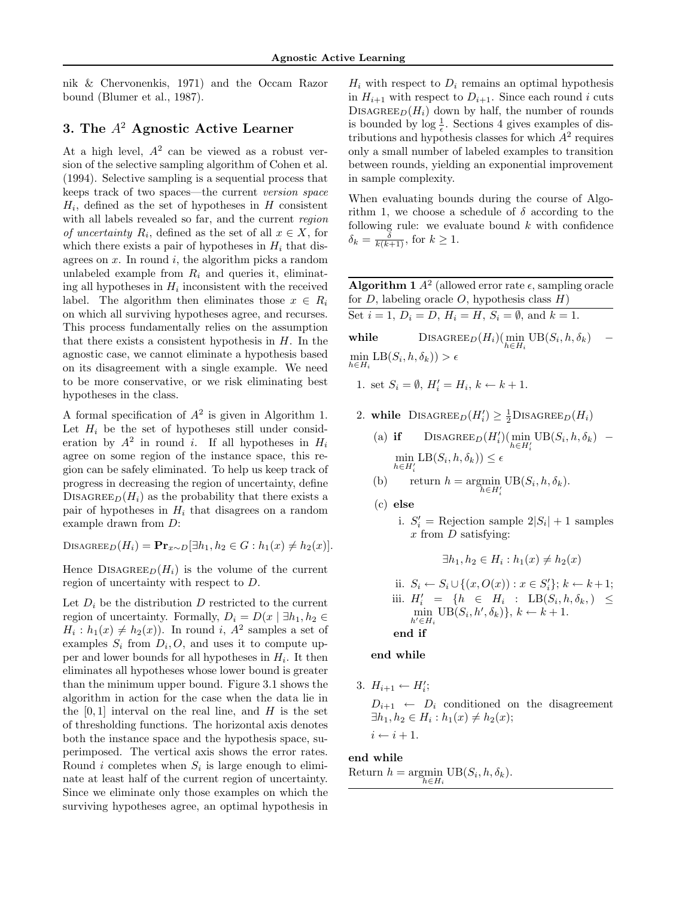nik & Chervonenkis, 1971) and the Occam Razor bound (Blumer et al., 1987).

# 3. The  $A^2$  Agnostic Active Learner

At a high level,  $A^2$  can be viewed as a robust version of the selective sampling algorithm of Cohen et al. (1994). Selective sampling is a sequential process that keeps track of two spaces—the current version space  $H_i$ , defined as the set of hypotheses in  $H$  consistent with all labels revealed so far, and the current region *of uncertainty*  $R_i$ , defined as the set of all  $x \in X$ , for which there exists a pair of hypotheses in  $H_i$  that disagrees on  $x$ . In round  $i$ , the algorithm picks a random unlabeled example from  $R_i$  and queries it, eliminating all hypotheses in  $H_i$  inconsistent with the received label. The algorithm then eliminates those  $x \in R_i$ on which all surviving hypotheses agree, and recurses. This process fundamentally relies on the assumption that there exists a consistent hypothesis in  $H$ . In the agnostic case, we cannot eliminate a hypothesis based on its disagreement with a single example. We need to be more conservative, or we risk eliminating best hypotheses in the class.

A formal specification of  $A^2$  is given in Algorithm 1. Let  $H_i$  be the set of hypotheses still under consideration by  $A^2$  in round *i*. If all hypotheses in  $H_i$ agree on some region of the instance space, this region can be safely eliminated. To help us keep track of progress in decreasing the region of uncertainty, define DISAGREE<sub>D</sub> $(H_i)$  as the probability that there exists a pair of hypotheses in  $H_i$  that disagrees on a random example drawn from D:

DISAGREED $(H_i) = \mathbf{Pr}_{x \sim D}[\exists h_1, h_2 \in G : h_1(x) \neq h_2(x)].$ 

Hence  $Disپ $D_{\text{ISAGEE}_D}(H_i)$  is the volume of the current$ region of uncertainty with respect to D.

Let  $D_i$  be the distribution D restricted to the current region of uncertainty. Formally,  $D_i = D(x | \exists h_1, h_2 \in$  $H_i: h_1(x) \neq h_2(x)$ . In round i,  $A^2$  samples a set of examples  $S_i$  from  $D_i, O$ , and uses it to compute upper and lower bounds for all hypotheses in  $H_i$ . It then eliminates all hypotheses whose lower bound is greater than the minimum upper bound. Figure 3.1 shows the algorithm in action for the case when the data lie in the  $[0, 1]$  interval on the real line, and H is the set of thresholding functions. The horizontal axis denotes both the instance space and the hypothesis space, superimposed. The vertical axis shows the error rates. Round *i* completes when  $S_i$  is large enough to eliminate at least half of the current region of uncertainty. Since we eliminate only those examples on which the surviving hypotheses agree, an optimal hypothesis in

 $H_i$  with respect to  $D_i$  remains an optimal hypothesis in  $H_{i+1}$  with respect to  $D_{i+1}$ . Since each round i cuts DISAGREE $_D(H_i)$  down by half, the number of rounds is bounded by  $\log \frac{1}{\epsilon}$ . Sections 4 gives examples of distributions and hypothesis classes for which  $A<sup>2</sup>$  requires only a small number of labeled examples to transition between rounds, yielding an exponential improvement in sample complexity.

When evaluating bounds during the course of Algorithm 1, we choose a schedule of  $\delta$  according to the following rule: we evaluate bound  $k$  with confidence  $\delta_k = \frac{\delta}{k(k+1)}$ , for  $k \geq 1$ .

**Algorithm 1**  $A^2$  (allowed error rate  $\epsilon$ , sampling oracle for  $D$ , labeling oracle  $O$ , hypothesis class  $H$ )

Set  $i = 1$ ,  $D_i = D$ ,  $H_i = H$ ,  $S_i = \emptyset$ , and  $k = 1$ .

while  $\text{DISAGREE}_D(H_i)(\min_{h \in H_i} \text{UB}(S_i, h, \delta_k)$  –  $\min_{h \in H_i} \text{LB}(S_i, h, \delta_k)) > \epsilon$ 

1. set  $S_i = \emptyset$ ,  $H'_i = H_i$ ,  $k \leftarrow k + 1$ .

- 2. while  $\text{DisagREE}_D(H_i') \geq \frac{1}{2} \text{DisagREE}_D(H_i)$ 
	- (a) if DISAGREE<sub>D</sub> $(H_i')$ ( $\min_{h \in H_i'}$ UB $(S_i, h, \delta_k)$   $\min_{h \in H_i'} \text{LB}(S_i, h, \delta_k)) \leq \epsilon$

(b) return 
$$
h = \underset{h \in H_i'}{\text{argmin}} \text{UB}(S_i, h, \delta_k)
$$
.

- (c) else
	- i.  $S_i' =$  Rejection sample  $2|S_i| + 1$  samples  $x$  from  $D$  satisfying:

$$
\exists h_1, h_2 \in H_i : h_1(x) \neq h_2(x)
$$

ii. 
$$
S_i \leftarrow S_i \cup \{(x, O(x)) : x \in S'_i\}; k \leftarrow k+1;
$$
  
\niii.  $H'_i = \{h \in H_i : \text{LB}(S_i, h, \delta_k, ) \le \min_{h' \in H_i} \text{UB}(S_i, h', \delta_k)\}, k \leftarrow k+1.$   
\n**end if**

end while

3.  $H_{i+1} \leftarrow H_i';$ 

 $D_{i+1} \leftarrow D_i$  conditioned on the disagreement  $\exists h_1, h_2 \in H_i : h_1(x) \neq h_2(x);$  $i \leftarrow i + 1.$ 

## end while

Return  $h = \operatorname*{argmin}_{h \in H_i} \text{UB}(S_i, h, \delta_k).$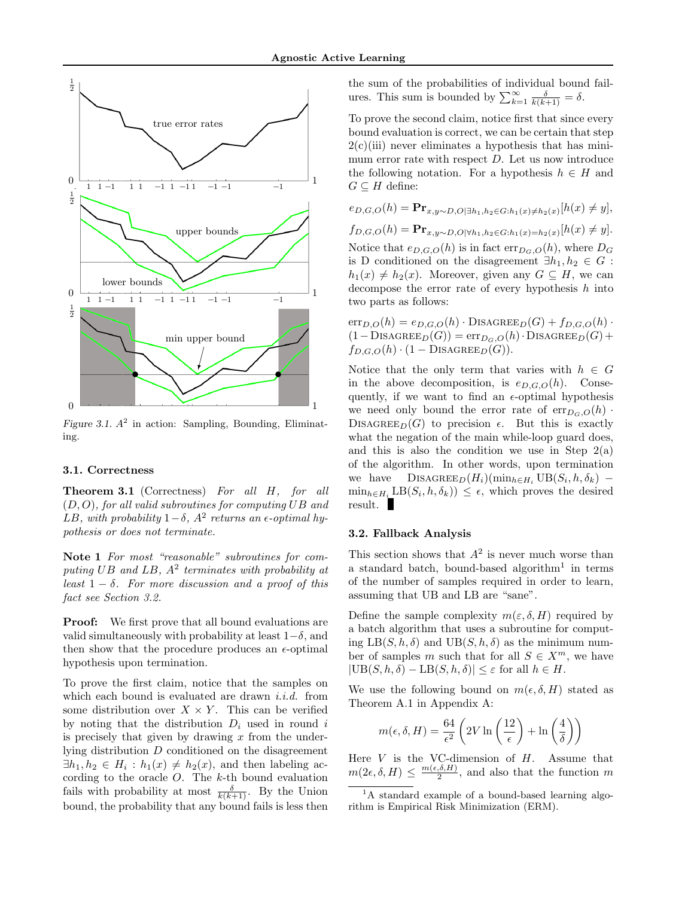

Figure 3.1.  $A^2$  in action: Sampling, Bounding, Eliminating.

## 3.1. Correctness

Theorem 3.1 (Correctness) For all H, for all  $(D, O)$ , for all valid subroutines for computing UB and LB, with probability  $1-\delta$ ,  $A^2$  returns an  $\epsilon$ -optimal hypothesis or does not terminate.

Note 1 For most "reasonable" subroutines for computing  $UB$  and  $LB$ ,  $A^2$  terminates with probability at least  $1 - \delta$ . For more discussion and a proof of this fact see Section 3.2.

**Proof:** We first prove that all bound evaluations are valid simultaneously with probability at least  $1-\delta$ , and then show that the procedure produces an  $\epsilon$ -optimal hypothesis upon termination.

To prove the first claim, notice that the samples on which each bound is evaluated are drawn  $i.i.d.$  from some distribution over  $X \times Y$ . This can be verified by noting that the distribution  $D_i$  used in round i is precisely that given by drawing  $x$  from the underlying distribution D conditioned on the disagreement  $\exists h_1, h_2 \in H_i : h_1(x) \neq h_2(x)$ , and then labeling according to the oracle  $O$ . The  $k$ -th bound evaluation fails with probability at most  $\frac{\delta}{k(k+1)}$ . By the Union bound, the probability that any bound fails is less then the sum of the probabilities of individual bound failures. This sum is bounded by  $\sum_{k=1}^{\infty} \frac{\delta}{k(k+1)} = \delta$ .

To prove the second claim, notice first that since every bound evaluation is correct, we can be certain that step  $2(c)(iii)$  never eliminates a hypothesis that has minimum error rate with respect  $D$ . Let us now introduce the following notation. For a hypothesis  $h \in H$  and  $G \subseteq H$  define:

$$
e_{D,G,O}(h) = \mathbf{Pr}_{x,y \sim D,O|\exists h_1, h_2 \in G:h_1(x) \neq h_2(x)}[h(x) \neq y],
$$
  
\n $f_{D,G,O}(h) = \mathbf{Pr}_{x,y \sim D,O|\forall h_1, h_2 \in G:h_1(x) = h_2(x)}[h(x) \neq y].$   
\nNotice that  $e_{D,G,O}(h)$  is in fact  $\text{err}_{D_G,O}(h)$ , where  $D_G$  is D conditioned on the disagreement  $\exists h_1, h_2 \in G$ :  
\n $h_1(x) \neq h_2(x)$ . Moreover, given any  $G \subseteq H$ , we can decompose the error rate of every hypothesis h into two parts as follows:

 $err_{D,O}(h) = e_{D,G,O}(h) \cdot \text{DISAGREE}_D(G) + f_{D,G,O}(h) \cdot$  $(1-\text{DISAGREE}_D(G)) = \text{err}_{D_G,O}(h) \cdot \text{DISAGREE}_D(G) +$  $f_{D,G,O}(h) \cdot (1 - \text{DISAGREE}_D(G)).$ 

Notice that the only term that varies with  $h \in G$ in the above decomposition, is  $e_{D,G,O}(h)$ . Consequently, if we want to find an  $\epsilon$ -optimal hypothesis we need only bound the error rate of  $err_{D_G,O}(h)$ . DISAGREE<sub>D</sub>(G) to precision  $\epsilon$ . But this is exactly what the negation of the main while-loop guard does, and this is also the condition we use in Step  $2(a)$ of the algorithm. In other words, upon termination we have  $\text{DISAGREE}_D(H_i)(\min_{h \in H_i} \text{UB}(S_i, h, \delta_k)$  –  $\min_{h \in H_i} \text{LB}(S_i, h, \delta_k) \leq \epsilon$ , which proves the desired result.

#### 3.2. Fallback Analysis

This section shows that  $A^2$  is never much worse than a standard batch, bound-based algorithm<sup>1</sup> in terms of the number of samples required in order to learn, assuming that UB and LB are "sane".

Define the sample complexity  $m(\varepsilon, \delta, H)$  required by a batch algorithm that uses a subroutine for computing  $LB(S, h, \delta)$  and  $UB(S, h, \delta)$  as the minimum number of samples m such that for all  $S \in X^m$ , we have  $|\text{UB}(S, h, \delta) - \text{LB}(S, h, \delta)| \leq \varepsilon$  for all  $h \in H$ .

We use the following bound on  $m(\epsilon, \delta, H)$  stated as Theorem A.1 in Appendix A:

$$
m(\epsilon, \delta, H) = \frac{64}{\epsilon^2} \left( 2V \ln \left( \frac{12}{\epsilon} \right) + \ln \left( \frac{4}{\delta} \right) \right)
$$

Here  $V$  is the VC-dimension of  $H$ . Assume that  $m(2\epsilon,\delta,H) \leq \frac{m(\epsilon,\delta,H)}{2}$  $\frac{a_1, b_2, H_1}{2}$ , and also that the function m

 ${}^{1}$ A standard example of a bound-based learning algorithm is Empirical Risk Minimization (ERM).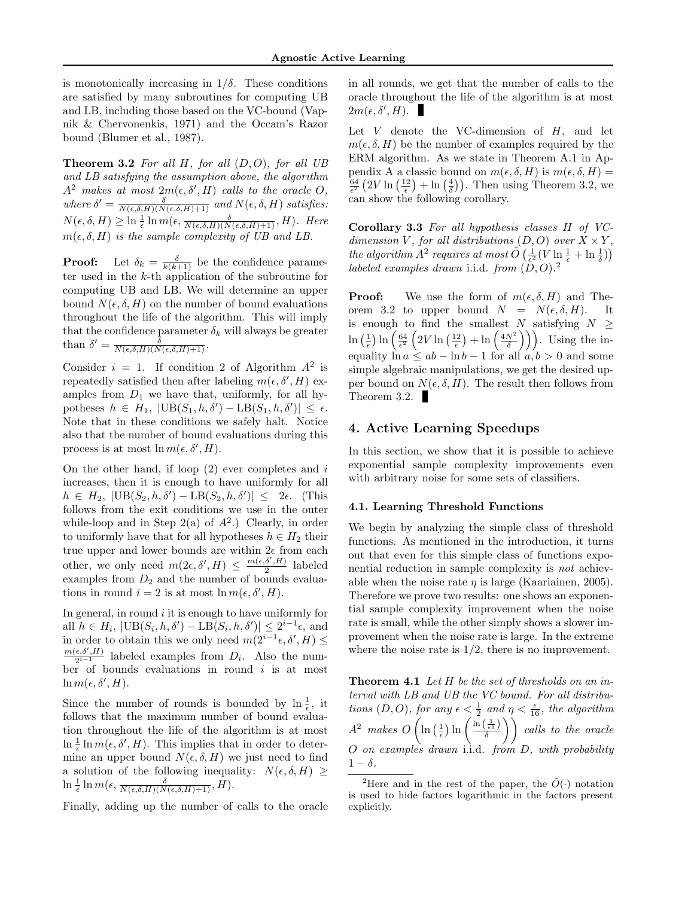is monotonically increasing in  $1/\delta$ . These conditions are satisfied by many subroutines for computing UB and LB, including those based on the VC-bound (Vapnik & Chervonenkis, 1971) and the Occam's Razor bound (Blumer et al., 1987).

**Theorem 3.2** For all H, for all  $(D, O)$ , for all UB and LB satisfying the assumption above, the algorithm  $A^2$  makes at most  $2m(\epsilon, \delta', H)$  calls to the oracle O, where  $\delta' = \frac{\delta}{N(\epsilon, \delta, H)(N(\epsilon, \delta, H)+1)}$  and  $N(\epsilon, \delta, H)$  satisfies:  $N(\epsilon, \delta, H) \geq \ln \frac{1}{\epsilon} \ln m(\epsilon, \frac{\delta}{N(\epsilon, \delta, H)(N(\epsilon, \delta, H)+1)}, H)$ . Here  $m(\epsilon, \delta, H)$  is the sample complexity of UB and LB.

**Proof:** Let  $\delta_k = \frac{\delta}{k(k+1)}$  be the confidence parameter used in the k-th application of the subroutine for computing UB and LB. We will determine an upper bound  $N(\epsilon, \delta, H)$  on the number of bound evaluations throughout the life of the algorithm. This will imply that the confidence parameter  $\delta_k$  will always be greater than  $\delta' = \frac{\delta}{N(\epsilon, \delta, H)(N(\epsilon, \delta, H)+1)}$ .

Consider  $i = 1$ . If condition 2 of Algorithm  $A^2$  is repeatedly satisfied then after labeling  $m(\epsilon, \delta', H)$  examples from  $D_1$  we have that, uniformly, for all hypotheses  $h \in H_1$ ,  $|\text{UB}(S_1, h, \delta') - \text{LB}(S_1, h, \delta')| \leq \epsilon$ . Note that in these conditions we safely halt. Notice also that the number of bound evaluations during this process is at most  $\ln m(\epsilon, \delta', H)$ .

On the other hand, if loop  $(2)$  ever completes and i increases, then it is enough to have uniformly for all  $h \in H_2, |\text{UB}(S_2, h, \delta') - \text{LB}(S_2, h, \delta')| \leq 2\epsilon.$  (This follows from the exit conditions we use in the outer while-loop and in Step  $2(a)$  of  $A<sup>2</sup>$ .) Clearly, in order to uniformly have that for all hypotheses  $h \in H_2$  their true upper and lower bounds are within  $2\epsilon$  from each other, we only need  $m(2\epsilon, \delta', H) \leq \frac{m(\epsilon, \delta', H)}{2}$  $\frac{a}{2}$  labeled examples from  $D_2$  and the number of bounds evaluations in round  $i = 2$  is at most  $\ln m(\epsilon, \delta', H)$ .

In general, in round  $i$  it is enough to have uniformly for all  $h \in H_i$ ,  $|\text{UB}(S_i, h, \delta') - \text{LB}(S_i, h, \delta')| \leq 2^{i-1}\epsilon$ , and in order to obtain this we only need  $m(2^{i-1}\epsilon, \delta', H) \leq$  $m(\epsilon, \delta', H)$  $\frac{\epsilon, \delta, H}{2^{i-1}}$  labeled examples from  $D_i$ . Also the number of bounds evaluations in round  $i$  is at most  $\ln m(\epsilon, \delta', H).$ 

Since the number of rounds is bounded by  $\ln \frac{1}{\epsilon}$ , it follows that the maximum number of bound evaluation throughout the life of the algorithm is at most  $\ln \frac{1}{\epsilon} \ln m(\epsilon, \delta', H)$ . This implies that in order to determine an upper bound  $N(\epsilon, \delta, H)$  we just need to find a solution of the following inequality:  $N(\epsilon, \delta, H) \geq$  $\ln \frac{1}{\epsilon} \ln m(\epsilon, \frac{\delta}{N(\epsilon, \delta, H)(N(\epsilon, \delta, H)+1)}, H).$ 

Finally, adding up the number of calls to the oracle

in all rounds, we get that the number of calls to the oracle throughout the life of the algorithm is at most  $2m(\epsilon, \delta', H).$ 

Let  $V$  denote the VC-dimension of  $H$ , and let  $m(\epsilon, \delta, H)$  be the number of examples required by the ERM algorithm. As we state in Theorem A.1 in Appendix A a classic bound on  $m(\epsilon, \delta, H)$  is  $m(\epsilon, \delta, H)$  =  $\frac{64}{\epsilon^2}$   $(2V \ln\left(\frac{12}{\epsilon}\right) + \ln\left(\frac{4}{\delta}\right))$ . Then using Theorem 3.2, we can show the following corollary.

Corollary 3.3 For all hypothesis classes H of VCdimension V, for all distributions  $(D, O)$  over  $X \times Y$ , the algorithm  $A^2$  requires at most  $\tilde{O}\left(\frac{1}{\epsilon^2}(V \ln \frac{1}{\epsilon} + \ln \frac{1}{\delta})\right)$ labeled examples drawn i.i.d. from  $(D, O)$ .<sup>2</sup>

**Proof:** We use the form of  $m(\epsilon, \delta, H)$  and Theorem 3.2 to upper bound  $N = N(\epsilon, \delta, H)$ . It is enough to find the smallest N satisfying  $N \geq$  $\ln\left(\frac{1}{\epsilon}\right) \ln\left(\frac{64}{\epsilon^2}\left(2V\ln\left(\frac{12}{\epsilon}\right)+\ln\left(\frac{4N^2}{\delta}\right)\right)\right)$ . Using the inequality  $\ln a \leq ab - \ln b - 1$  for all  $a, b > 0$  and some simple algebraic manipulations, we get the desired upper bound on  $N(\epsilon, \delta, H)$ . The result then follows from Theorem 3.2.

## 4. Active Learning Speedups

In this section, we show that it is possible to achieve exponential sample complexity improvements even with arbitrary noise for some sets of classifiers.

#### 4.1. Learning Threshold Functions

We begin by analyzing the simple class of threshold functions. As mentioned in the introduction, it turns out that even for this simple class of functions exponential reduction in sample complexity is not achievable when the noise rate  $\eta$  is large (Kaariainen, 2005). Therefore we prove two results: one shows an exponential sample complexity improvement when the noise rate is small, while the other simply shows a slower improvement when the noise rate is large. In the extreme where the noise rate is  $1/2$ , there is no improvement.

**Theorem 4.1** Let  $H$  be the set of thresholds on an interval with LB and UB the VC bound. For all distributions  $(D, O)$ , for any  $\epsilon < \frac{1}{2}$  and  $\eta < \frac{\epsilon}{16}$ , the algorithm  $A^2$  makes  $O\left(\ln\left(\frac{1}{\epsilon}\right)\ln\left(\frac{\ln\left(\frac{1}{\epsilon\delta}\right)}{\delta}\right)\right)$  calls to the oracle O on examples drawn i.i.d. from D, with probability  $1 - \delta$ .

<sup>&</sup>lt;sup>2</sup>Here and in the rest of the paper, the  $\tilde{O}(\cdot)$  notation is used to hide factors logarithmic in the factors present explicitly.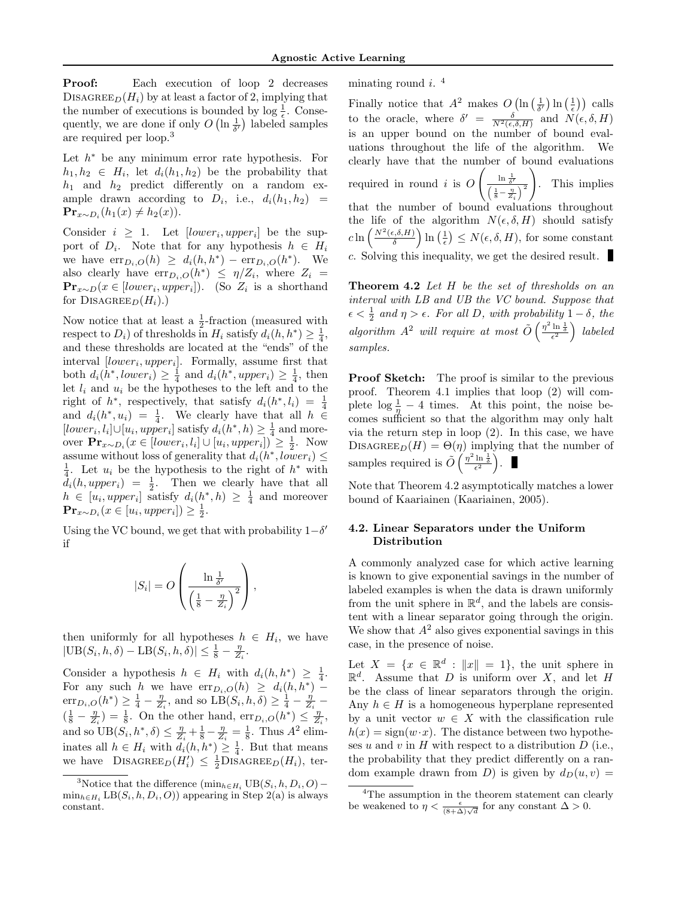Proof: Each execution of loop 2 decreases DISAGREE<sub>D</sub>( $H_i$ ) by at least a factor of 2, implying that the number of executions is bounded by  $\log \frac{1}{\epsilon}$ . Consequently, we are done if only  $O\left(\ln \frac{1}{\delta'}\right)$  labeled samples are required per loop.<sup>3</sup>

Let  $h^*$  be any minimum error rate hypothesis. For  $h_1, h_2 \in H_i$ , let  $d_i(h_1, h_2)$  be the probability that  $h_1$  and  $h_2$  predict differently on a random example drawn according to  $D_i$ , i.e.,  $d_i(h_1, h_2)$  =  $\mathbf{Pr}_{x \sim D_i}(h_1(x) \neq h_2(x)).$ 

Consider  $i \geq 1$ . Let  $[lower_i, upper_i]$  be the support of  $D_i$ . Note that for any hypothesis  $h \in H_i$ we have  $\text{err}_{D_i,O}(h) \geq d_i(h,h^*) - \text{err}_{D_i,O}(h^*)$ . We also clearly have  $\text{err}_{D_i,O}(h^*) \leq \eta/Z_i$ , where  $Z_i =$  $\mathbf{Pr}_{x \sim D}(x \in [lower_i, upper_i]).$  (So  $Z_i$  is a shorthand for DISAGREE<sub>D</sub> $(H_i)$ .)

Now notice that at least a  $\frac{1}{2}$ -fraction (measured with respect to  $D_i$ ) of thresholds in  $H_i$  satisfy  $d_i(h, h^*) \geq \frac{1}{4}$ , and these thresholds are located at the "ends" of the interval  $[lower_i, upper_i]$ . Formally, assume first that both  $d_i(h^*, lower_i) \geq \frac{1}{4}$  and  $d_i(h^*,upper_i) \geq \frac{1}{4}$ , then let  $l_i$  and  $u_i$  be the hypotheses to the left and to the right of  $h^*$ , respectively, that satisfy  $d_i(h^*, l_i) = \frac{1}{4}$ and  $d_i(h^*, u_i) = \frac{1}{4}$ . We clearly have that all  $h \in$  $[lower_i, l_i] \cup [u_i, upper_i]$  satisfy  $d_i(h^*, h) \geq \frac{1}{4}$  and moreover  $\mathbf{Pr}_{x \sim D_i}(x \in [lower_i, l_i] \cup [u_i, upper_i]) \geq \frac{1}{2}$ . Now assume without loss of generality that  $d_i(h^*, lower_i) \leq$  $\frac{1}{4}$ . Let  $u_i$  be the hypothesis to the right of  $h^*$  with  $d_i(h, upper_i) = \frac{1}{2}$ . Then we clearly have that all  $h \in [u_i, upper_i]$  satisfy  $d_i(h^*, h) \geq \frac{1}{4}$  and moreover  $\mathbf{Pr}_{x \sim D_i}(x \in [u_i, upper_i]) \geq \frac{1}{2}.$ 

Using the VC bound, we get that with probability  $1-\delta'$ if

$$
|S_i| = O\left(\frac{\ln \frac{1}{\delta'}}{\left(\frac{1}{8} - \frac{\eta}{Z_i}\right)^2}\right),\,
$$

then uniformly for all hypotheses  $h \in H_i$ , we have  $|\text{UB}(S_i, h, \delta) - \text{LB}(S_i, h, \delta)| \leq \frac{1}{8} - \frac{\eta}{Z_i}.$ 

Consider a hypothesis  $h \in H_i$  with  $d_i(h, h^*) \geq \frac{1}{4}$ . For any such h we have  $err_{D_i,O}(h) \geq d_i(h,h^*)$  –  $\text{err}_{D_i,O}(h^*) \geq \frac{1}{4} - \frac{\eta}{Z_i}$ , and so  $\text{LB}(S_i, h, \delta) \geq \frac{1}{4} - \frac{\eta}{Z_i}$  $\left(\frac{1}{8} - \frac{\eta}{Z_i}\right) = \frac{1}{8}$ . On the other hand,  $\operatorname{err}_{D_i,O}(h^*) \leq \frac{\eta}{Z_i}$ , and so  $UB(S_i, h^*, \delta) \leq \frac{\eta}{Z_i} + \frac{1}{8} - \frac{\eta}{Z_i} = \frac{1}{8}$ . Thus  $A^2$  eliminates all  $h \in H_i$  with  $d_i(h, h^*) \geq \frac{1}{4}$ . But that means we have  $\text{DISAGREE}_D(H_i') \leq \frac{1}{2} \text{DISAGREE}_D(H_i)$ , terminating round  $i$ .<sup>4</sup>

Finally notice that  $A^2$  makes  $O\left(\ln\left(\frac{1}{\delta'}\right)\ln\left(\frac{1}{\epsilon}\right)\right)$  calls to the oracle, where  $\delta' = \frac{\delta}{N^2(\epsilon, \delta, H)}$  and  $N(\epsilon, \delta, H)$ is an upper bound on the number of bound evaluations throughout the life of the algorithm. We clearly have that the number of bound evaluations required in round  $i$  is  $O$  $\left(\frac{\ln \frac{1}{\delta'}}{\left(\frac{1}{8} - \frac{\eta}{Z_i}\right)^2}\right)$  $\setminus$ . This implies that the number of bound evaluations throughout the life of the algorithm  $N(\epsilon, \delta, H)$  should satisfy  $c\ln\left(\frac{N^2(\epsilon,\delta,H)}{\delta}\right)$  $\left(\frac{\epsilon}{\delta},\frac{\delta}{H}\right)$  ln  $\left(\frac{1}{\epsilon}\right) \leq N(\epsilon,\delta,H)$ , for some constant c. Solving this inequality, we get the desired result.

Theorem 4.2 Let H be the set of thresholds on an interval with LB and UB the VC bound. Suppose that  $\epsilon < \frac{1}{2}$  and  $\eta > \epsilon$ . For all D, with probability  $1 - \delta$ , the algorithm  $A^2$  will require at most  $\tilde{O}\left(\frac{\eta^2 \ln \frac{1}{\delta}}{\epsilon^2}\right)$  labeled samples.

Proof Sketch: The proof is similar to the previous proof. Theorem 4.1 implies that loop (2) will complete  $\log \frac{1}{\eta} - 4$  times. At this point, the noise becomes sufficient so that the algorithm may only halt via the return step in loop (2). In this case, we have DISAGREE<sub>D</sub> $(H) = \Theta(\eta)$  implying that the number of samples required is  $\tilde{O}\left(\frac{\eta^2 \ln \frac{1}{\delta}}{\epsilon^2}\right)$ .

Note that Theorem 4.2 asymptotically matches a lower bound of Kaariainen (Kaariainen, 2005).

## 4.2. Linear Separators under the Uniform Distribution

A commonly analyzed case for which active learning is known to give exponential savings in the number of labeled examples is when the data is drawn uniformly from the unit sphere in  $\mathbb{R}^d$ , and the labels are consistent with a linear separator going through the origin. We show that  $A^2$  also gives exponential savings in this case, in the presence of noise.

Let  $X = \{x \in \mathbb{R}^d : ||x|| = 1\}$ , the unit sphere in  $\mathbb{R}^d$ . Assume that D is uniform over X, and let H be the class of linear separators through the origin. Any  $h \in H$  is a homogeneous hyperplane represented by a unit vector  $w \in X$  with the classification rule  $h(x) = sign(w \cdot x)$ . The distance between two hypotheses  $u$  and  $v$  in  $H$  with respect to a distribution  $D$  (i.e., the probability that they predict differently on a random example drawn from D) is given by  $d_D(u, v) =$ 

<sup>&</sup>lt;sup>3</sup>Notice that the difference  $(\min_{h \in H_i} \text{UB}(S_i, h, D_i, O) \min_{h \in H_i} \text{LB}(S_i, h, D_i, O))$  appearing in Step 2(a) is always constant.

<sup>&</sup>lt;sup>4</sup>The assumption in the theorem statement can clearly be weakened to  $\eta < \frac{\epsilon}{(8+\Delta)\sqrt{d}}$  for any constant  $\Delta > 0$ .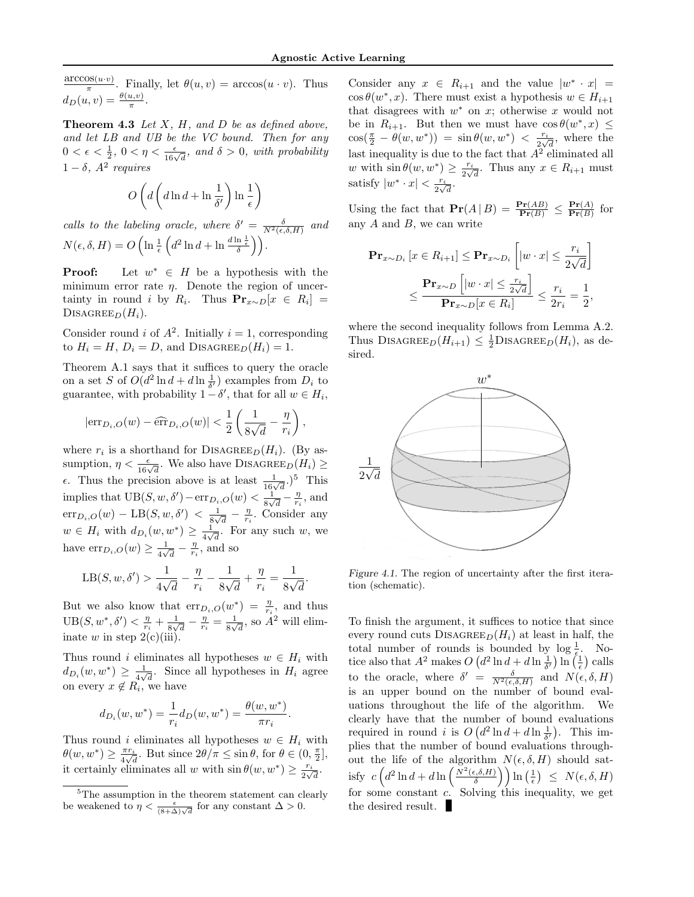$\frac{\arccos(u \cdot v)}{\pi}$ . Finally, let  $\theta(u, v) = \arccos(u \cdot v)$ . Thus  $d_D(u, v) = \frac{\theta(u, v)}{\pi}.$ 

**Theorem 4.3** Let  $X$ ,  $H$ , and  $D$  be as defined above, and let LB and UB be the VC bound. Then for any  $0 < \epsilon < \frac{1}{2}$ ,  $0 < \eta < \frac{\epsilon}{16\sqrt{d}}$ , and  $\delta > 0$ , with probability  $1 - \delta$ ,  $A^2$  requires

$$
O\left(d\left(d\ln d+\ln\frac{1}{\delta'}\right)\ln\frac{1}{\epsilon}\right)
$$

calls to the labeling oracle, where  $\delta' = \frac{\delta}{N^2(\epsilon,\delta,H)}$  and  $N(\epsilon, \delta, H) = O\left(\ln \frac{1}{\epsilon} \left(d^2 \ln d + \ln \frac{d \ln \frac{1}{\epsilon}}{\delta}\right)\right).$ 

**Proof:** Let  $w^* \in H$  be a hypothesis with the minimum error rate  $\eta$ . Denote the region of uncertainty in round *i* by  $R_i$ . Thus  $\mathbf{Pr}_{x \sim D}[x \in R_i]$  = DISAGREE<sub>D</sub> $(H_i)$ .

Consider round *i* of  $A^2$ . Initially  $i = 1$ , corresponding to  $H_i = H$ ,  $D_i = D$ , and DISAGREE<sub>D</sub> $(H_i) = 1$ .

Theorem A.1 says that it suffices to query the oracle on a set S of  $O(d^2 \ln d + d \ln \frac{1}{\delta'})$  examples from  $D_i$  to guarantee, with probability  $1-\delta'$ , that for all  $w \in H_i$ ,

$$
|\mathrm{err}_{D_i,O}(w) - \widehat{\mathrm{err}}_{D_i,O}(w)| < \frac{1}{2} \left( \frac{1}{8\sqrt{d}} - \frac{\eta}{r_i} \right),
$$

where  $r_i$  is a shorthand for DISAGREE<sub>D</sub> $(H_i)$ . (By assumption,  $\eta < \frac{\epsilon}{16\sqrt{d}}$ . We also have DISAGREE<sub>D</sub>( $H_i$ )  $\ge$  $\epsilon$ . Thus the precision above is at least  $\frac{1}{16\sqrt{d}}$ .)<sup>5</sup> This implies that  $UB(S, w, \delta') - err_{D_i,O}(w) < \frac{1}{8N}$  $\frac{1}{8\sqrt{d}} - \frac{\eta}{r_i}$ , and  $\mathrm{err}_{D_i,O}(w) - \mathrm{LB}(S,w,\delta') < \frac{1}{8\sqrt{3}}$  $\frac{1}{8\sqrt{d}} - \frac{\eta}{r_i}$ . Consider any  $w \in H_i$  with  $d_{D_i}(w, w^*) \geq \frac{1}{4\sqrt{n}}$  $\frac{1}{4\sqrt{d}}$ . For any such w, we have  $\text{err}_{D_i,O}(w) \geq \frac{1}{4N}$  $\frac{1}{4\sqrt{d}} - \frac{\eta}{r_i}$ , and so

$$
LB(S, w, \delta') > \frac{1}{4\sqrt{d}} - \frac{\eta}{r_i} - \frac{1}{8\sqrt{d}} + \frac{\eta}{r_i} = \frac{1}{8\sqrt{d}}.
$$

But we also know that  $err_{D_i,O}(w^*) = \frac{\eta}{r_i}$ , and thus  $UB(S, w^*, \delta') < \frac{\eta}{r_i} + \frac{1}{8\sqrt{r_i}}$  $\frac{1}{8\sqrt{d}} - \frac{\eta}{r_i} = \frac{1}{8\sqrt{d}}$  $\frac{1}{8\sqrt{d}}$ , so  $A^2$  will eliminate w in step  $2(c)(iii)$ .

Thus round i eliminates all hypotheses  $w \in H_i$  with  $d_{D_i}(w, w^*) \geq \frac{1}{4N}$  $\frac{1}{4\sqrt{d}}$ . Since all hypotheses in  $H_i$  agree on every  $x \notin R_i$ , we have

$$
d_{D_i}(w, w^*) = \frac{1}{r_i} d_D(w, w^*) = \frac{\theta(w, w^*)}{\pi r_i}.
$$

Thus round i eliminates all hypotheses  $w \in H_i$  with  $\theta(w, w^*) \geq \frac{\pi r_i}{4}$  $\frac{\pi r_i}{4\sqrt{d}}$ . But since  $2\theta/\pi \le \sin \theta$ , for  $\theta \in (0, \frac{\pi}{2}],$ it certainly eliminates all w with  $\sin \theta(w, w^*) \geq \frac{r_i}{2}$  $rac{r_i}{2\sqrt{d}}$ .

Consider any  $x \in R_{i+1}$  and the value  $|w^* \cdot x|$  =  $\cos \theta(w^*, x)$ . There must exist a hypothesis  $w \in H_{i+1}$ that disagrees with  $w^*$  on  $x$ ; otherwise x would not be in  $R_{i+1}$ . But then we must have  $\cos \theta(w^*, x) \leq$  $\cos(\frac{\pi}{2} - \theta(w, w^*)) = \sin \theta(w, w^*) < \frac{r_i}{2\sqrt{2}}$  $\frac{r_i}{2\sqrt{d}}$ , where the last inequality is due to the fact that  $A^2$  eliminated all w with  $\sin \theta(w, w^*) \geq \frac{r_i}{2}$  $\frac{r_i}{2\sqrt{d}}$ . Thus any  $x \in R_{i+1}$  must satisfy  $|w^* \cdot x| < \frac{r_i}{2}$  $rac{r_i}{2\sqrt{d}}$ .

Using the fact that  $\mathbf{Pr}(A | B) = \frac{\mathbf{Pr}(AB)}{\mathbf{Pr}(B)} \leq \frac{\mathbf{Pr}(A)}{\mathbf{Pr}(B)}$  $\frac{\mathbf{Pr}(A)}{\mathbf{Pr}(B)}$  for any  $A$  and  $B$ , we can write

$$
\begin{aligned} \mathbf{Pr}_{x \sim D_i} \left[ x \in R_{i+1} \right] &\leq \mathbf{Pr}_{x \sim D_i} \left[ |w \cdot x| \leq \frac{r_i}{2\sqrt{d}} \right] \\ &\leq \frac{\mathbf{Pr}_{x \sim D} \left[ |w \cdot x| \leq \frac{r_i}{2\sqrt{d}} \right]}{\mathbf{Pr}_{x \sim D} [x \in R_i]} \leq \frac{r_i}{2r_i} = \frac{1}{2}, \end{aligned}
$$

where the second inequality follows from Lemma A.2. Thus DISAGREE<sub>D</sub> $(H_{i+1}) \leq \frac{1}{2}$ DISAGREE<sub>D</sub> $(H_i)$ , as desired.



Figure 4.1. The region of uncertainty after the first iteration (schematic).

To finish the argument, it suffices to notice that since every round cuts  $\text{DISAGREE}_D(H_i)$  at least in half, the total number of rounds is bounded by  $\log \frac{1}{\epsilon}$ . Notice also that  $A^2$  makes  $O(d^2 \ln d + d \ln \frac{1}{\delta'}) \ln (\frac{1}{\epsilon})$  calls to the oracle, where  $\delta' = \frac{\delta}{N^2(\epsilon, \delta, H)}$  and  $N(\epsilon, \delta, H)$ is an upper bound on the number of bound evaluations throughout the life of the algorithm. We clearly have that the number of bound evaluations required in round *i* is  $O(d^2 \ln d + d \ln \frac{1}{\delta'})$ . This implies that the number of bound evaluations throughout the life of the algorithm  $N(\epsilon, \delta, H)$  should satisfy  $c\left(d^2\ln d + d\ln\left(\frac{N^2(\epsilon,\delta,H)}{\delta}\right)\right)$  $\left(\frac{\delta_{\varepsilon},\delta,H)}{\delta}\right)\Big)\ln\left(\frac{1}{\epsilon}\right) \ \leq \ N(\epsilon,\delta,H)$ for some constant  $c$ . Solving this inequality, we get the desired result.

<sup>&</sup>lt;sup>5</sup>The assumption in the theorem statement can clearly be weakened to  $\eta < \frac{\epsilon}{(8+\Delta)\sqrt{d}}$  for any constant  $\Delta > 0$ .